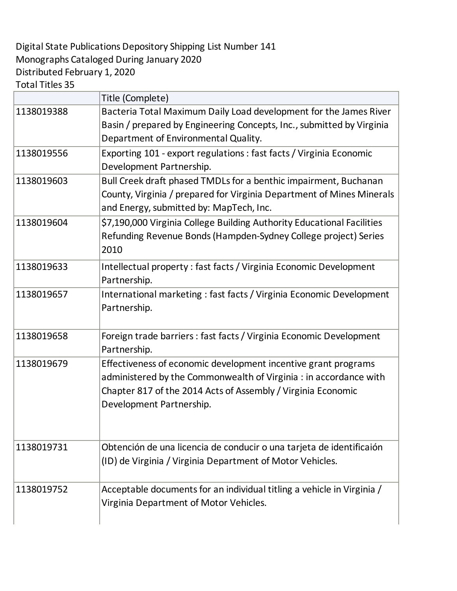## Digital State Publications Depository Shipping List Number 141 Monographs Cataloged During January 2020 Distributed February 1, 2020 Total Titles 35

|            | Title (Complete)                                                                                                                                                                                                                |
|------------|---------------------------------------------------------------------------------------------------------------------------------------------------------------------------------------------------------------------------------|
| 1138019388 | Bacteria Total Maximum Daily Load development for the James River<br>Basin / prepared by Engineering Concepts, Inc., submitted by Virginia<br>Department of Environmental Quality.                                              |
| 1138019556 | Exporting 101 - export regulations : fast facts / Virginia Economic<br>Development Partnership.                                                                                                                                 |
| 1138019603 | Bull Creek draft phased TMDLs for a benthic impairment, Buchanan<br>County, Virginia / prepared for Virginia Department of Mines Minerals<br>and Energy, submitted by: MapTech, Inc.                                            |
| 1138019604 | \$7,190,000 Virginia College Building Authority Educational Facilities<br>Refunding Revenue Bonds (Hampden-Sydney College project) Series<br>2010                                                                               |
| 1138019633 | Intellectual property : fast facts / Virginia Economic Development<br>Partnership.                                                                                                                                              |
| 1138019657 | International marketing: fast facts / Virginia Economic Development<br>Partnership.                                                                                                                                             |
| 1138019658 | Foreign trade barriers : fast facts / Virginia Economic Development<br>Partnership.                                                                                                                                             |
| 1138019679 | Effectiveness of economic development incentive grant programs<br>administered by the Commonwealth of Virginia : in accordance with<br>Chapter 817 of the 2014 Acts of Assembly / Virginia Economic<br>Development Partnership. |
| 1138019731 | Obtención de una licencia de conducir o una tarjeta de identificaión<br>(ID) de Virginia / Virginia Department of Motor Vehicles.                                                                                               |
| 1138019752 | Acceptable documents for an individual titling a vehicle in Virginia /<br>Virginia Department of Motor Vehicles.                                                                                                                |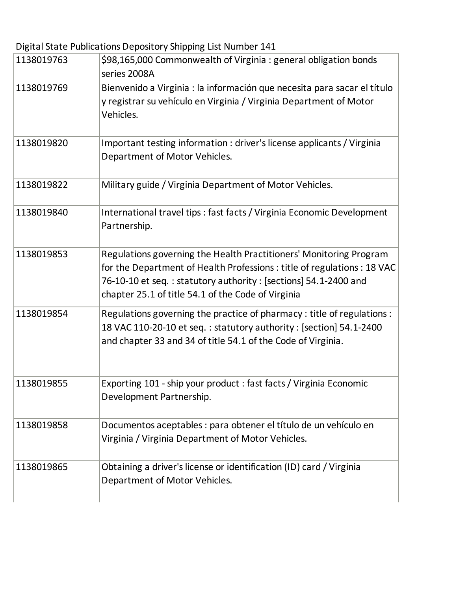Digital State Publications Depository Shipping List Number 141

| 1138019763 | \$98,165,000 Commonwealth of Virginia : general obligation bonds<br>series 2008A                                                                                                                                                                                        |
|------------|-------------------------------------------------------------------------------------------------------------------------------------------------------------------------------------------------------------------------------------------------------------------------|
| 1138019769 | Bienvenido a Virginia : la información que necesita para sacar el título<br>y registrar su vehículo en Virginia / Virginia Department of Motor<br>Vehicles.                                                                                                             |
| 1138019820 | Important testing information : driver's license applicants / Virginia<br>Department of Motor Vehicles.                                                                                                                                                                 |
| 1138019822 | Military guide / Virginia Department of Motor Vehicles.                                                                                                                                                                                                                 |
| 1138019840 | International travel tips : fast facts / Virginia Economic Development<br>Partnership.                                                                                                                                                                                  |
| 1138019853 | Regulations governing the Health Practitioners' Monitoring Program<br>for the Department of Health Professions : title of regulations : 18 VAC<br>76-10-10 et seq.: statutory authority: [sections] 54.1-2400 and<br>chapter 25.1 of title 54.1 of the Code of Virginia |
| 1138019854 | Regulations governing the practice of pharmacy: title of regulations:<br>18 VAC 110-20-10 et seq.: statutory authority: [section] 54.1-2400<br>and chapter 33 and 34 of title 54.1 of the Code of Virginia.                                                             |
| 1138019855 | Exporting 101 - ship your product : fast facts / Virginia Economic<br>Development Partnership.                                                                                                                                                                          |
| 1138019858 | Documentos aceptables : para obtener el título de un vehículo en<br>Virginia / Virginia Department of Motor Vehicles.                                                                                                                                                   |
| 1138019865 | Obtaining a driver's license or identification (ID) card / Virginia<br>Department of Motor Vehicles.                                                                                                                                                                    |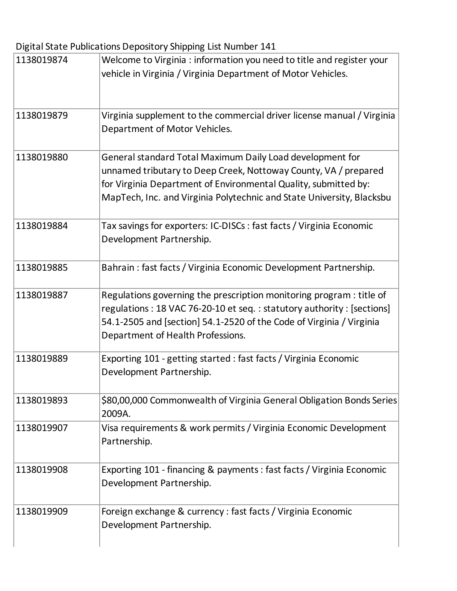Digital State Publications Depository Shipping List Number 141

| 1138019874 | Welcome to Virginia : information you need to title and register your<br>vehicle in Virginia / Virginia Department of Motor Vehicles.                                                                                                                                    |
|------------|--------------------------------------------------------------------------------------------------------------------------------------------------------------------------------------------------------------------------------------------------------------------------|
| 1138019879 | Virginia supplement to the commercial driver license manual / Virginia<br>Department of Motor Vehicles.                                                                                                                                                                  |
| 1138019880 | General standard Total Maximum Daily Load development for<br>unnamed tributary to Deep Creek, Nottoway County, VA / prepared<br>for Virginia Department of Environmental Quality, submitted by:<br>MapTech, Inc. and Virginia Polytechnic and State University, Blacksbu |
| 1138019884 | Tax savings for exporters: IC-DISCs : fast facts / Virginia Economic<br>Development Partnership.                                                                                                                                                                         |
| 1138019885 | Bahrain: fast facts / Virginia Economic Development Partnership.                                                                                                                                                                                                         |
| 1138019887 | Regulations governing the prescription monitoring program : title of<br>regulations: 18 VAC 76-20-10 et seq.: statutory authority: [sections]<br>54.1-2505 and [section] 54.1-2520 of the Code of Virginia / Virginia<br>Department of Health Professions.               |
| 1138019889 | Exporting 101 - getting started : fast facts / Virginia Economic<br>Development Partnership.                                                                                                                                                                             |
| 1138019893 | \$80,00,000 Commonwealth of Virginia General Obligation Bonds Series<br>2009A.                                                                                                                                                                                           |
| 1138019907 | Visa requirements & work permits / Virginia Economic Development<br>Partnership.                                                                                                                                                                                         |
| 1138019908 | Exporting 101 - financing & payments: fast facts / Virginia Economic<br>Development Partnership.                                                                                                                                                                         |
| 1138019909 | Foreign exchange & currency : fast facts / Virginia Economic<br>Development Partnership.                                                                                                                                                                                 |